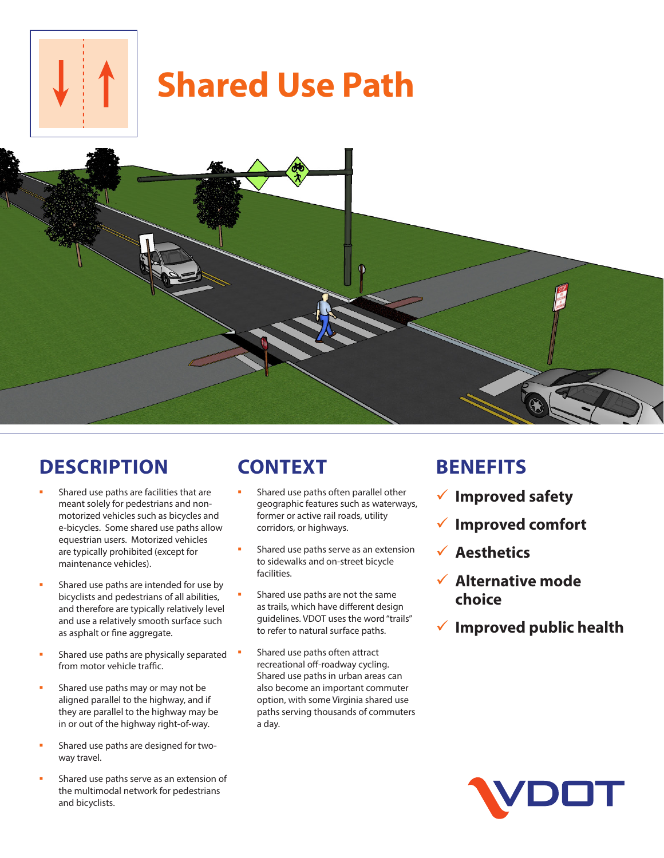

# **Shared Use Path**



### **DESCRIPTION**

- Shared use paths are facilities that are meant solely for pedestrians and nonmotorized vehicles such as bicycles and e-bicycles. Some shared use paths allow equestrian users. Motorized vehicles are typically prohibited (except for maintenance vehicles).
- Shared use paths are intended for use by bicyclists and pedestrians of all abilities, and therefore are typically relatively level and use a relatively smooth surface such as asphalt or fine aggregate.
- Shared use paths are physically separated from motor vehicle traffic.
- Shared use paths may or may not be aligned parallel to the highway, and if they are parallel to the highway may be in or out of the highway right-of-way.
- Shared use paths are designed for twoway travel.
- Shared use paths serve as an extension of the multimodal network for pedestrians and bicyclists.

## **CONTEXT**

- Shared use paths often parallel other geographic features such as waterways, former or active rail roads, utility corridors, or highways.
- Shared use paths serve as an extension to sidewalks and on-street bicycle facilities.
- Shared use paths are not the same as trails, which have different design guidelines. VDOT uses the word "trails" to refer to natural surface paths.
- Shared use paths often attract recreational off-roadway cycling. Shared use paths in urban areas can also become an important commuter option, with some Virginia shared use paths serving thousands of commuters a day.

#### **BENEFITS**

- 9 **Improved safety**
- 9 **Improved comfort**
- 9 **Aesthetics**
- 9 **Alternative mode choice**
- 9 **Improved public health**